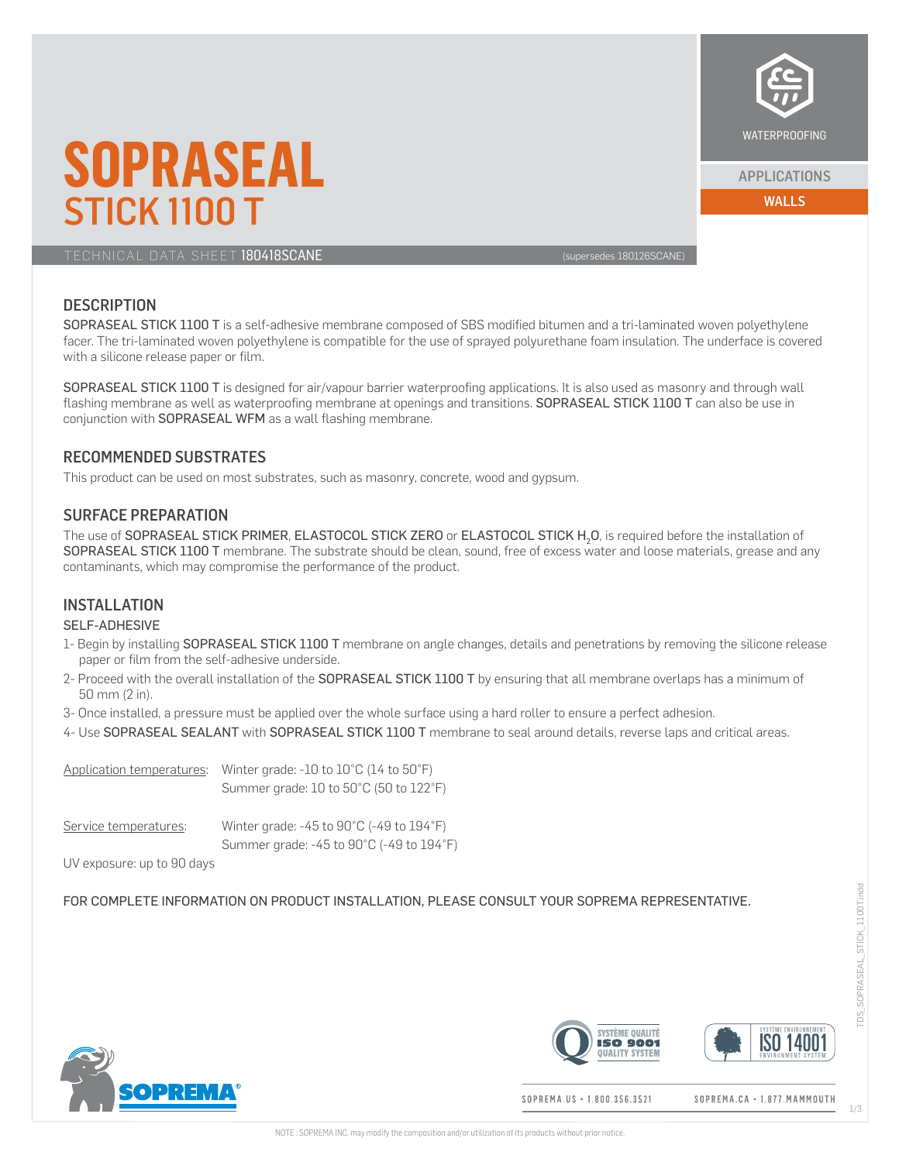

#### APPLICATIONS

WALLS

# **SOPRASEAL** STICK 1100 T

TECHNICAL DATA SHEET 180418SCANE (SUPERFORMER 1999) SUPERFORMER (Supersedes 180126SCANE)

## **DESCRIPTION**

SOPRASEAL STICK 1100 T is a self-adhesive membrane composed of SBS modified bitumen and a tri-laminated woven polyethylene facer. The tri-laminated woven polyethylene is compatible for the use of sprayed polyurethane foam insulation. The underface is covered with a silicone release paper or film.

SOPRASEAL STICK 1100 T is designed for air/vapour barrier waterproofing applications. It is also used as masonry and through wall flashing membrane as well as waterproofing membrane at openings and transitions. SOPRASEAL STICK 1100 T can also be use in conjunction with SOPRASEAL WFM as a wall flashing membrane.

### RECOMMENDED SUBSTRATES

This product can be used on most substrates, such as masonry, concrete, wood and gypsum.

#### SURFACE PREPARATION

The use of SOPRASEAL STICK PRIMER, ELASTOCOL STICK ZERO or ELASTOCOL STICK H<sub>2</sub>O, is required before the installation of SOPRASEAL STICK 1100 T membrane. The substrate should be clean, sound, free of excess water and loose materials, grease and any contaminants, which may compromise the performance of the product.

# **INSTALLATION**

#### SELF-ADHESIVE

- 1- Begin by installing SOPRASEAL STICK 1100 T membrane on angle changes, details and penetrations by removing the silicone release paper or film from the self-adhesive underside.
- 2- Proceed with the overall installation of the SOPRASEAL STICK 1100 T by ensuring that all membrane overlaps has a minimum of 50 mm (2 in).
- 3- Once installed, a pressure must be applied over the whole surface using a hard roller to ensure a perfect adhesion.
- 4- Use SOPRASEAL SEALANT with SOPRASEAL STICK 1100 T membrane to seal around details, reverse laps and critical areas.

|                       | Application temperatures: Winter grade: -10 to $10^{\circ}$ C (14 to $50^{\circ}$ F)<br>Summer grade: $10$ to $50^{\circ}$ C (50 to $122^{\circ}$ F) |
|-----------------------|------------------------------------------------------------------------------------------------------------------------------------------------------|
| Service temperatures: | Winter grade: $-45$ to $90^{\circ}$ C ( $-49$ to $194^{\circ}$ F)<br>Summer grade: -45 to 90°C (-49 to 194°F)                                        |

UV exposure: up to 90 days

FOR COMPLETE INFORMATION ON PRODUCT INSTALLATION, PLEASE CONSULT YOUR SOPREMA REPRESENTATIVE.







SOPREMA.US + 1.800.356.3521

SOPREMA.CA · 1.877. MAMMOUTH

TDS\_SOPRASEAL\_STICK\_1100T.indd

SOPRASEAL STICK 1100T.indd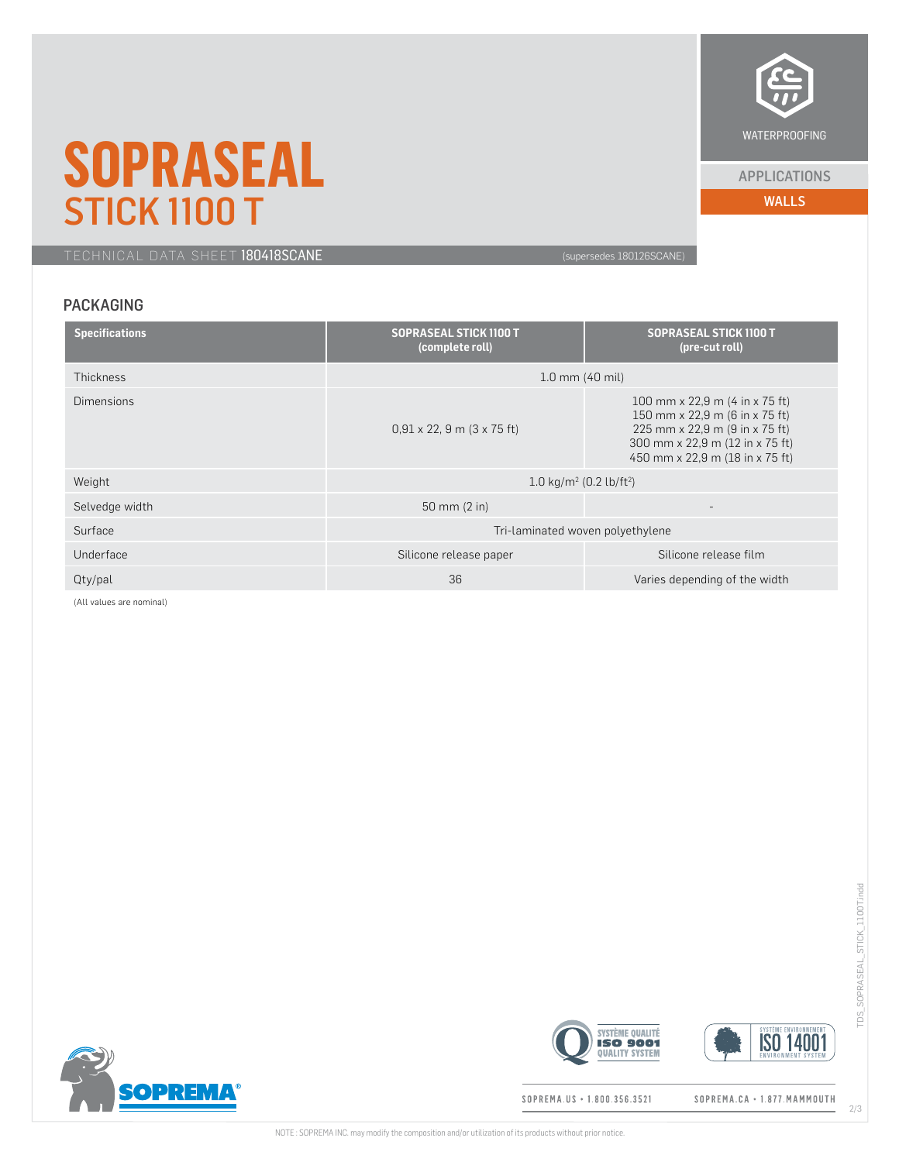

#### APPLICATIONS

WALLS

# **SOPRASEAL** STICK 1100 T

TECHNICAL DATA SHEET 180418SCANE (supersedes 180126SCANE)

# PACKAGING

| <b>Specifications</b> | <b>SOPRASEAL STICK 1100 T</b><br>(complete roll) | <b>SOPRASEAL STICK 1100 T</b><br>(pre-cut roll)                                                                                                                          |  |
|-----------------------|--------------------------------------------------|--------------------------------------------------------------------------------------------------------------------------------------------------------------------------|--|
| <b>Thickness</b>      | $1.0 \, \text{mm}$ (40 mil)                      |                                                                                                                                                                          |  |
| <b>Dimensions</b>     | $0.91 \times 22$ , 9 m $(3 \times 75$ ft)        | 100 mm x 22,9 m (4 in x 75 ft)<br>150 mm x 22,9 m (6 in x 75 ft)<br>225 mm x 22,9 m (9 in x 75 ft)<br>300 mm x 22,9 m (12 in x 75 ft)<br>450 mm x 22,9 m (18 in x 75 ft) |  |
| Weight                | 1.0 kg/m <sup>2</sup> (0.2 lb/ft <sup>2</sup> )  |                                                                                                                                                                          |  |
| Selvedge width        | 50 mm (2 in)                                     | $\overline{\phantom{a}}$                                                                                                                                                 |  |
| Surface               | Tri-laminated woven polyethylene                 |                                                                                                                                                                          |  |
| Underface             | Silicone release paper                           | Silicone release film                                                                                                                                                    |  |
| Qty/pal               | 36                                               | Varies depending of the width                                                                                                                                            |  |

(All values are nominal)



SOPREMA.US + 1.800.356.3521

**SYSTÈME QUALITÉ** 

**QUALITY SYSTEM** 

SOPREMA.CA · 1.877.MAMMOUTH

TDS\_SOPRASEAL\_STICK\_1100T.indd

TDS\_SOPRASEAL\_STICK\_1100T.indd